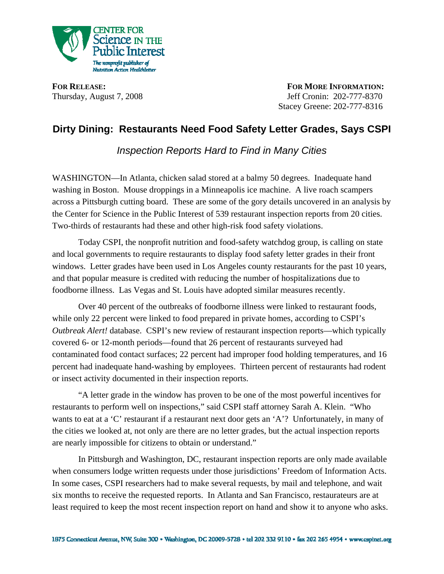

**FOR RELEASE:** FOR MORE INFORMATION: Thursday, August 7, 2008 Jeff Cronin: 202-777-8370 Stacey Greene: 202-777-8316

## **Dirty Dining: Restaurants Need Food Safety Letter Grades, Says CSPI**

*Inspection Reports Hard to Find in Many Cities* 

WASHINGTON—In Atlanta, chicken salad stored at a balmy 50 degrees. Inadequate hand washing in Boston. Mouse droppings in a Minneapolis ice machine. A live roach scampers across a Pittsburgh cutting board. These are some of the gory details uncovered in an analysis by the Center for Science in the Public Interest of 539 restaurant inspection reports from 20 cities. Two-thirds of restaurants had these and other high-risk food safety violations.

Today CSPI, the nonprofit nutrition and food-safety watchdog group, is calling on state and local governments to require restaurants to display food safety letter grades in their front windows. Letter grades have been used in Los Angeles county restaurants for the past 10 years, and that popular measure is credited with reducing the number of hospitalizations due to foodborne illness. Las Vegas and St. Louis have adopted similar measures recently.

 Over 40 percent of the outbreaks of foodborne illness were linked to restaurant foods, while only 22 percent were linked to food prepared in private homes, according to CSPI's *Outbreak Alert!* database. CSPI's new review of restaurant inspection reports—which typically covered 6- or 12-month periods—found that 26 percent of restaurants surveyed had contaminated food contact surfaces; 22 percent had improper food holding temperatures, and 16 percent had inadequate hand-washing by employees. Thirteen percent of restaurants had rodent or insect activity documented in their inspection reports.

 "A letter grade in the window has proven to be one of the most powerful incentives for restaurants to perform well on inspections," said CSPI staff attorney Sarah A. Klein. "Who wants to eat at a 'C' restaurant if a restaurant next door gets an 'A'? Unfortunately, in many of the cities we looked at, not only are there are no letter grades, but the actual inspection reports are nearly impossible for citizens to obtain or understand."

 In Pittsburgh and Washington, DC, restaurant inspection reports are only made available when consumers lodge written requests under those jurisdictions' Freedom of Information Acts. In some cases, CSPI researchers had to make several requests, by mail and telephone, and wait six months to receive the requested reports. In Atlanta and San Francisco, restaurateurs are at least required to keep the most recent inspection report on hand and show it to anyone who asks.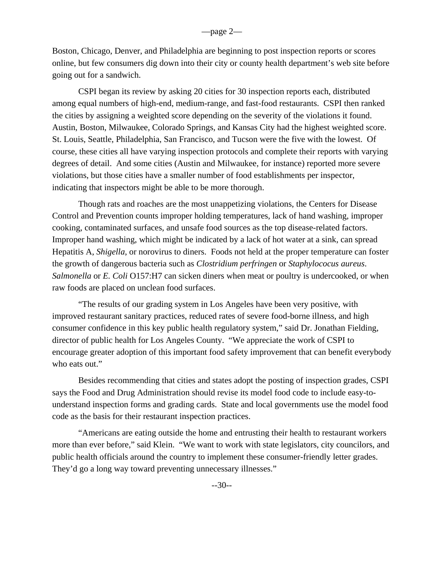Boston, Chicago, Denver, and Philadelphia are beginning to post inspection reports or scores online, but few consumers dig down into their city or county health department's web site before going out for a sandwich.

 CSPI began its review by asking 20 cities for 30 inspection reports each, distributed among equal numbers of high-end, medium-range, and fast-food restaurants. CSPI then ranked the cities by assigning a weighted score depending on the severity of the violations it found. Austin, Boston, Milwaukee, Colorado Springs, and Kansas City had the highest weighted score. St. Louis, Seattle, Philadelphia, San Francisco, and Tucson were the five with the lowest. Of course, these cities all have varying inspection protocols and complete their reports with varying degrees of detail. And some cities (Austin and Milwaukee, for instance) reported more severe violations, but those cities have a smaller number of food establishments per inspector, indicating that inspectors might be able to be more thorough.

 Though rats and roaches are the most unappetizing violations, the Centers for Disease Control and Prevention counts improper holding temperatures, lack of hand washing, improper cooking, contaminated surfaces, and unsafe food sources as the top disease-related factors. Improper hand washing, which might be indicated by a lack of hot water at a sink, can spread Hepatitis A, *Shigella*, or norovirus to diners. Foods not held at the proper temperature can foster the growth of dangerous bacteria such as *Clostridium perfringen* or *Staphylococus aureus*. *Salmonella* or *E. Coli* O157:H7 can sicken diners when meat or poultry is undercooked, or when raw foods are placed on unclean food surfaces.

 "The results of our grading system in Los Angeles have been very positive, with improved restaurant sanitary practices, reduced rates of severe food-borne illness, and high consumer confidence in this key public health regulatory system," said Dr. Jonathan Fielding, director of public health for Los Angeles County. "We appreciate the work of CSPI to encourage greater adoption of this important food safety improvement that can benefit everybody who eats out."

 Besides recommending that cities and states adopt the posting of inspection grades, CSPI says the Food and Drug Administration should revise its model food code to include easy-tounderstand inspection forms and grading cards. State and local governments use the model food code as the basis for their restaurant inspection practices.

 "Americans are eating outside the home and entrusting their health to restaurant workers more than ever before," said Klein. "We want to work with state legislators, city councilors, and public health officials around the country to implement these consumer-friendly letter grades. They'd go a long way toward preventing unnecessary illnesses."

--30--